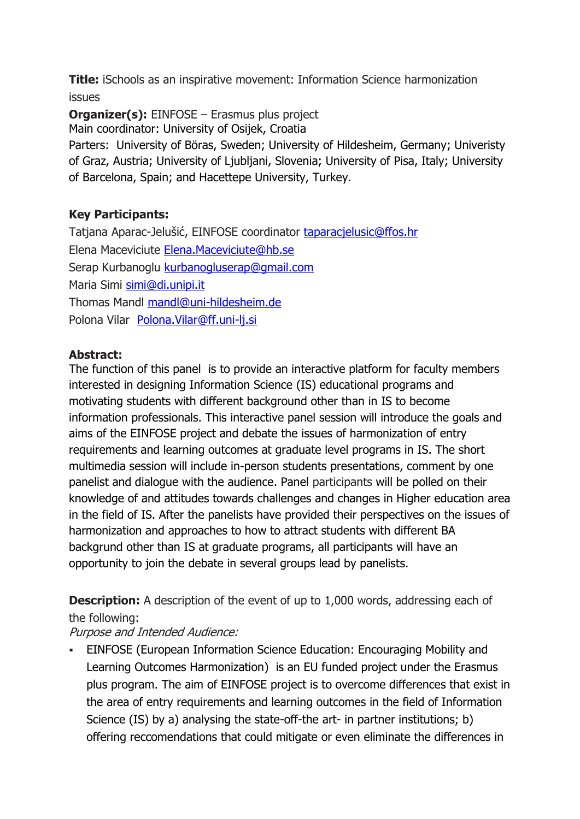**Title:** iSchools as an inspirative movement: Information Science harmonization issues

**Organizer(s):** EINFOSE – Erasmus plus project Main coordinator: University of Osijek, Croatia

Parters: University of Böras, Sweden; University of Hildesheim, Germany; Univeristy of Graz, Austria; University of Ljubljani, Slovenia; University of Pisa, Italy; University of Barcelona, Spain; and Hacettepe University, Turkey.

## **Key Participants:**

Tatjana Aparac-Jelušić, EINFOSE coordinator [taparacjelusic@ffos.hr](mailto:taparacjelusic@ffos.hr) Elena Maceviciute [Elena.Maceviciute@hb.se](mailto:Elena.Maceviciute@hb.se) Serap Kurbanoglu [kurbanogluserap@gmail.com](mailto:kurbanogluserap@gmail.com) Maria Simi [simi@di.unipi.it](mailto:simi@di.unipi.it) Thomas Mandl [mandl@uni-hildesheim.de](mailto:mandl@uni-hildesheim.de) Polona Vilar [Polona.Vilar@ff.uni-lj.si](mailto:Polona.Vilar@ff.uni-lj.si)

## **Abstract:**

The function of this panel is to provide an interactive platform for faculty members interested in designing Information Science (IS) educational programs and motivating students with different background other than in IS to become information professionals. This interactive panel session will introduce the goals and aims of the EINFOSE project and debate the issues of harmonization of entry requirements and learning outcomes at graduate level programs in IS. The short multimedia session will include in-person students presentations, comment by one panelist and dialogue with the audience. Panel participants will be polled on their knowledge of and attitudes towards challenges and changes in Higher education area in the field of IS. After the panelists have provided their perspectives on the issues of harmonization and approaches to how to attract students with different BA backgrund other than IS at graduate programs, all participants will have an opportunity to join the debate in several groups lead by panelists.

**Description:** A description of the event of up to 1,000 words, addressing each of the following:

Purpose and Intended Audience:

 EINFOSE (European Information Science Education: Encouraging Mobility and Learning Outcomes Harmonization) is an EU funded project under the Erasmus plus program. The aim of EINFOSE project is to overcome differences that exist in the area of entry requirements and learning outcomes in the field of Information Science (IS) by a) analysing the state-off-the art- in partner institutions; b) offering reccomendations that could mitigate or even eliminate the differences in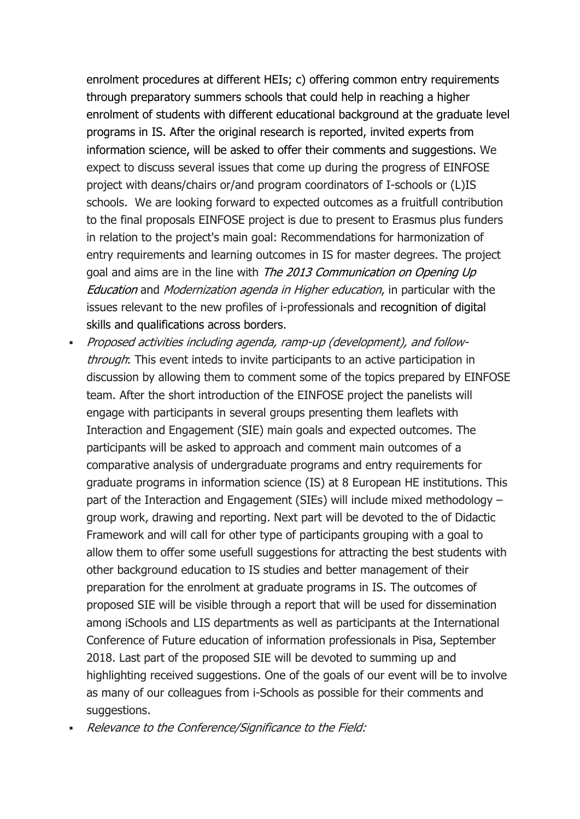enrolment procedures at different HEIs; c) offering common entry requirements through preparatory summers schools that could help in reaching a higher enrolment of students with different educational background at the graduate level programs in IS. After the original research is reported, invited experts from information science, will be asked to offer their comments and suggestions. We expect to discuss several issues that come up during the progress of EINFOSE project with deans/chairs or/and program coordinators of I-schools or (L)IS schools. We are looking forward to expected outcomes as a fruitfull contribution to the final proposals EINFOSE project is due to present to Erasmus plus funders in relation to the project's main goal: Recommendations for harmonization of entry requirements and learning outcomes in IS for master degrees. The project goal and aims are in the line with *The 2013 Communication on Opening Up* Education and Modernization agenda in Higher education, in particular with the issues relevant to the new profiles of i-professionals and recognition of digital skills and qualifications across borders.

 Proposed activities including agenda, ramp-up (development), and followthrough: This event inteds to invite participants to an active participation in discussion by allowing them to comment some of the topics prepared by EINFOSE team. After the short introduction of the EINFOSE project the panelists will engage with participants in several groups presenting them leaflets with Interaction and Engagement (SIE) main goals and expected outcomes. The participants will be asked to approach and comment main outcomes of a comparative analysis of undergraduate programs and entry requirements for graduate programs in information science (IS) at 8 European HE institutions. This part of the Interaction and Engagement (SIEs) will include mixed methodology – group work, drawing and reporting. Next part will be devoted to the of Didactic Framework and will call for other type of participants grouping with a goal to allow them to offer some usefull suggestions for attracting the best students with other background education to IS studies and better management of their preparation for the enrolment at graduate programs in IS. The outcomes of proposed SIE will be visible through a report that will be used for dissemination among iSchools and LIS departments as well as participants at the International Conference of Future education of information professionals in Pisa, September 2018. Last part of the proposed SIE will be devoted to summing up and highlighting received suggestions. One of the goals of our event will be to involve as many of our colleagues from i-Schools as possible for their comments and suggestions.

Relevance to the Conference/Significance to the Field: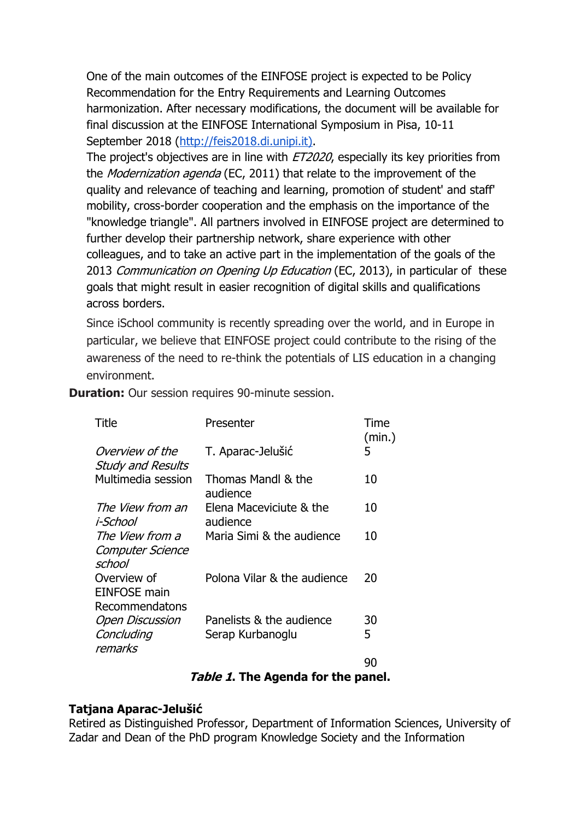One of the main outcomes of the EINFOSE project is expected to be Policy Recommendation for the Entry Requirements and Learning Outcomes harmonization. After necessary modifications, the document will be available for final discussion at the EINFOSE International Symposium in Pisa, 10-11 September 2018 [\(http://feis2018.di.unipi.it\)](http://feis2018.di.unipi.it/).

The project's objectives are in line with *ET2020*, especially its key priorities from the Modernization agenda (EC, 2011) that relate to the improvement of the quality and relevance of teaching and learning, promotion of student' and staff' mobility, cross-border cooperation and the emphasis on the importance of the "knowledge triangle". All partners involved in EINFOSE project are determined to further develop their partnership network, share experience with other colleagues, and to take an active part in the implementation of the goals of the 2013 Communication on Opening Up Education (EC, 2013), in particular of these goals that might result in easier recognition of digital skills and qualifications across borders.

Since iSchool community is recently spreading over the world, and in Europe in particular, we believe that EINFOSE project could contribute to the rising of the awareness of the need to re-think the potentials of LIS education in a changing environment.

**Duration:** Our session requires 90-minute session.

| Title                                                | Presenter                                    | Time<br>(min.) |
|------------------------------------------------------|----------------------------------------------|----------------|
| <i>Overview of the</i>                               | T. Aparac-Jelušić                            | 5              |
| <b>Study and Results</b><br>Multimedia session       | Thomas Mandl & the<br>audience               | 10             |
| The View from an<br>i-School                         | Elena Maceviciute & the<br>audience          | 10             |
| The View from a<br><b>Computer Science</b><br>school | Maria Simi & the audience                    | 10             |
| Overview of<br><b>EINFOSE</b> main<br>Recommendatons | Polona Vilar & the audience                  | 20             |
| <b>Open Discussion</b><br>Concluding<br>remarks      | Panelists & the audience<br>Serap Kurbanoglu | 30<br>5        |
|                                                      |                                              | 90             |

## **Table 1. The Agenda for the panel.**

## **Tatjana Aparac-Jelušić**

Retired as Distinguished Professor, Department of Information Sciences, University of Zadar and Dean of the PhD program Knowledge Society and the Information